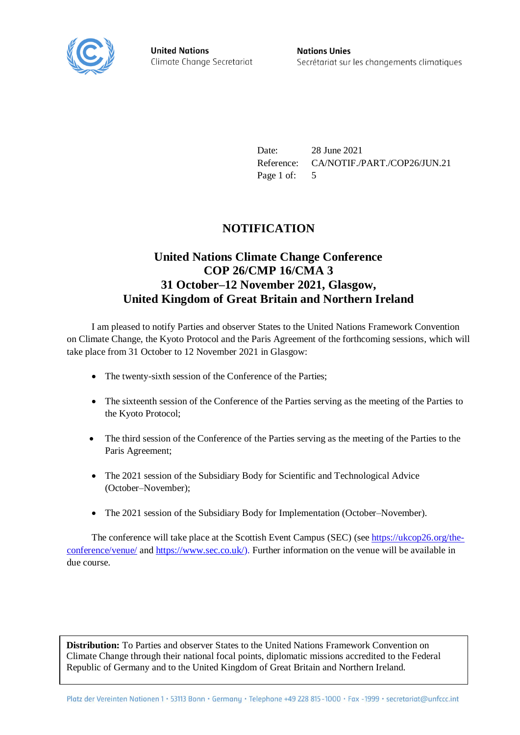

**United Nations** Climate Change Secretariat **Nations Unies** Secrétariat sur les changements climatiques

Date: 28 June 2021 Reference: CA/NOTIF./PART./COP26/JUN.21 Page 1 of: 5

## **NOTIFICATION**

## **United Nations Climate Change Conference COP 26/CMP 16/CMA 3 31 October–12 November 2021, Glasgow, United Kingdom of Great Britain and Northern Ireland**

I am pleased to notify Parties and observer States to the United Nations Framework Convention on Climate Change, the Kyoto Protocol and the Paris Agreement of the forthcoming sessions, which will take place from 31 October to 12 November 2021 in Glasgow:

- The twenty-sixth session of the Conference of the Parties;
- The sixteenth session of the Conference of the Parties serving as the meeting of the Parties to the Kyoto Protocol;
- The third session of the Conference of the Parties serving as the meeting of the Parties to the Paris Agreement;
- The 2021 session of the Subsidiary Body for Scientific and Technological Advice (October–November);
- The 2021 session of the Subsidiary Body for Implementation (October–November).

The conference will take place at the Scottish Event Campus (SEC) (se[e https://ukcop26.org/the](https://ukcop26.org/the-conference/venue/)[conference/venue/](https://ukcop26.org/the-conference/venue/) and [https://www.sec.co.uk/\)](https://www.sec.co.uk/). Further information on the venue will be available in due course.

**Distribution:** To Parties and observer States to the United Nations Framework Convention on Climate Change through their national focal points, diplomatic missions accredited to the Federal Republic of Germany and to the United Kingdom of Great Britain and Northern Ireland.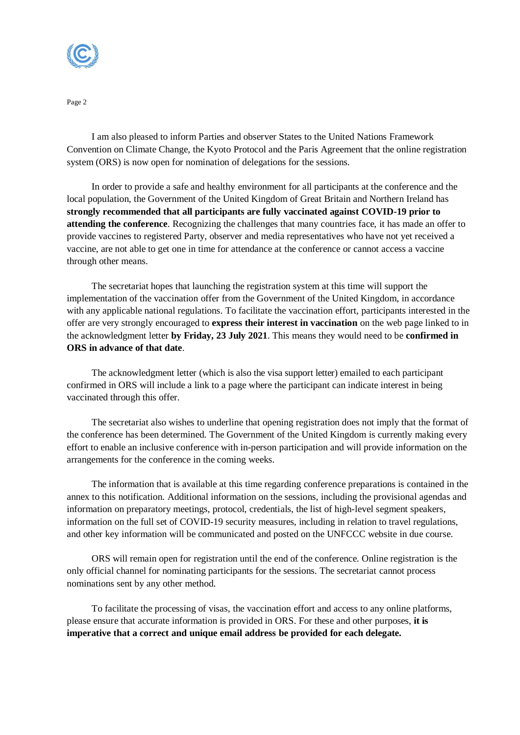

Page 2

I am also pleased to inform Parties and observer States to the United Nations Framework Convention on Climate Change, the Kyoto Protocol and the Paris Agreement that the online registration system (ORS) is now open for nomination of delegations for the sessions.

In order to provide a safe and healthy environment for all participants at the conference and the local population, the Government of the United Kingdom of Great Britain and Northern Ireland has **strongly recommended that all participants are fully vaccinated against COVID-19 prior to attending the conference**. Recognizing the challenges that many countries face, it has made an offer to provide vaccines to registered Party, observer and media representatives who have not yet received a vaccine, are not able to get one in time for attendance at the conference or cannot access a vaccine through other means.

The secretariat hopes that launching the registration system at this time will support the implementation of the vaccination offer from the Government of the United Kingdom, in accordance with any applicable national regulations. To facilitate the vaccination effort, participants interested in the offer are very strongly encouraged to **express their interest in vaccination** on the web page linked to in the acknowledgment letter **by Friday, 23 July 2021**. This means they would need to be **confirmed in ORS in advance of that date**.

The acknowledgment letter (which is also the visa support letter) emailed to each participant confirmed in ORS will include a link to a page where the participant can indicate interest in being vaccinated through this offer.

The secretariat also wishes to underline that opening registration does not imply that the format of the conference has been determined. The Government of the United Kingdom is currently making every effort to enable an inclusive conference with in-person participation and will provide information on the arrangements for the conference in the coming weeks.

The information that is available at this time regarding conference preparations is contained in the annex to this notification. Additional information on the sessions, including the provisional agendas and information on preparatory meetings, protocol, credentials, the list of high-level segment speakers, information on the full set of COVID-19 security measures, including in relation to travel regulations, and other key information will be communicated and posted on the UNFCCC website in due course.

ORS will remain open for registration until the end of the conference. Online registration is the only official channel for nominating participants for the sessions. The secretariat cannot process nominations sent by any other method.

To facilitate the processing of visas, the vaccination effort and access to any online platforms, please ensure that accurate information is provided in ORS. For these and other purposes, **it is imperative that a correct and unique email address be provided for each delegate.**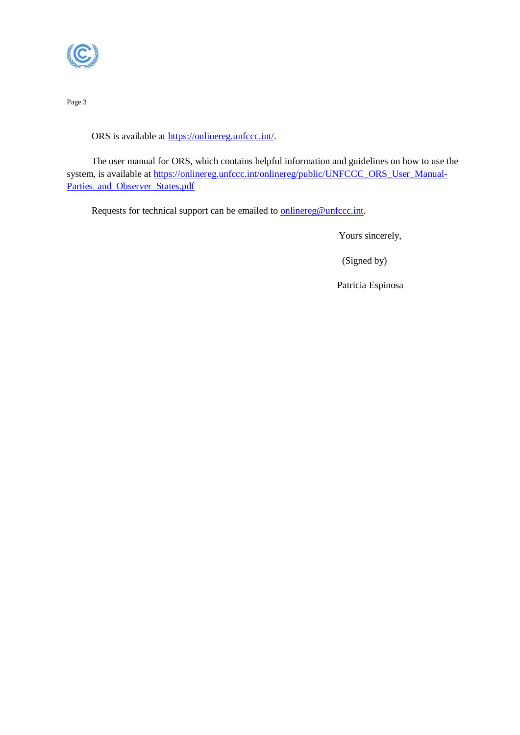

Page 3

ORS is available at [https://onlinereg.unfccc.int/.](https://onlinereg.unfccc.int/)

The user manual for ORS, which contains helpful information and guidelines on how to use the system, is available at [https://onlinereg.unfccc.int/onlinereg/public/UNFCCC\\_ORS\\_User\\_Manual-](https://onlinereg.unfccc.int/onlinereg/public/UNFCCC_ORS_User_Manual-Parties_and_Observer_States.pdf)[Parties\\_and\\_Observer\\_States.pdf](https://onlinereg.unfccc.int/onlinereg/public/UNFCCC_ORS_User_Manual-Parties_and_Observer_States.pdf)

Requests for technical support can be emailed to **onlinereg@unfccc.int**.

Yours sincerely,

(Signed by)

Patricia Espinosa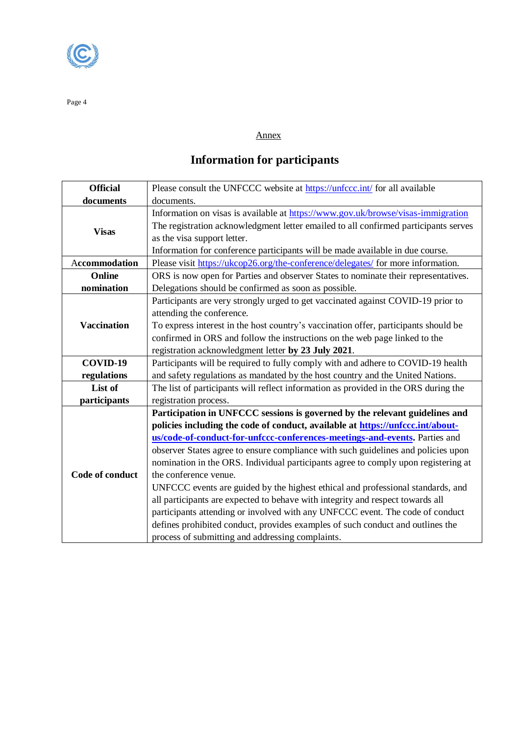

Page 4

## Annex

## **Information for participants**

| <b>Official</b>    | Please consult the UNFCCC website at https://unfccc.int/ for all available                                                                                                                                                                                                                                                                                                                                                                                                                                                                                                                                                                                                                                                                                                                                                                  |
|--------------------|---------------------------------------------------------------------------------------------------------------------------------------------------------------------------------------------------------------------------------------------------------------------------------------------------------------------------------------------------------------------------------------------------------------------------------------------------------------------------------------------------------------------------------------------------------------------------------------------------------------------------------------------------------------------------------------------------------------------------------------------------------------------------------------------------------------------------------------------|
| documents          | documents.                                                                                                                                                                                                                                                                                                                                                                                                                                                                                                                                                                                                                                                                                                                                                                                                                                  |
| <b>Visas</b>       | Information on visas is available at https://www.gov.uk/browse/visas-immigration<br>The registration acknowledgment letter emailed to all confirmed participants serves<br>as the visa support letter.<br>Information for conference participants will be made available in due course.                                                                                                                                                                                                                                                                                                                                                                                                                                                                                                                                                     |
| Accommodation      | Please visit https://ukcop26.org/the-conference/delegates/ for more information.                                                                                                                                                                                                                                                                                                                                                                                                                                                                                                                                                                                                                                                                                                                                                            |
| Online             | ORS is now open for Parties and observer States to nominate their representatives.                                                                                                                                                                                                                                                                                                                                                                                                                                                                                                                                                                                                                                                                                                                                                          |
| nomination         | Delegations should be confirmed as soon as possible.                                                                                                                                                                                                                                                                                                                                                                                                                                                                                                                                                                                                                                                                                                                                                                                        |
| <b>Vaccination</b> | Participants are very strongly urged to get vaccinated against COVID-19 prior to<br>attending the conference.<br>To express interest in the host country's vaccination offer, participants should be<br>confirmed in ORS and follow the instructions on the web page linked to the<br>registration acknowledgment letter by 23 July 2021.                                                                                                                                                                                                                                                                                                                                                                                                                                                                                                   |
| COVID-19           | Participants will be required to fully comply with and adhere to COVID-19 health                                                                                                                                                                                                                                                                                                                                                                                                                                                                                                                                                                                                                                                                                                                                                            |
| regulations        | and safety regulations as mandated by the host country and the United Nations.                                                                                                                                                                                                                                                                                                                                                                                                                                                                                                                                                                                                                                                                                                                                                              |
| List of            | The list of participants will reflect information as provided in the ORS during the                                                                                                                                                                                                                                                                                                                                                                                                                                                                                                                                                                                                                                                                                                                                                         |
| participants       | registration process.                                                                                                                                                                                                                                                                                                                                                                                                                                                                                                                                                                                                                                                                                                                                                                                                                       |
| Code of conduct    | Participation in UNFCCC sessions is governed by the relevant guidelines and<br>policies including the code of conduct, available at https://unfccc.int/about-<br>us/code-of-conduct-for-unfccc-conferences-meetings-and-events. Parties and<br>observer States agree to ensure compliance with such guidelines and policies upon<br>nomination in the ORS. Individual participants agree to comply upon registering at<br>the conference venue.<br>UNFCCC events are guided by the highest ethical and professional standards, and<br>all participants are expected to behave with integrity and respect towards all<br>participants attending or involved with any UNFCCC event. The code of conduct<br>defines prohibited conduct, provides examples of such conduct and outlines the<br>process of submitting and addressing complaints. |